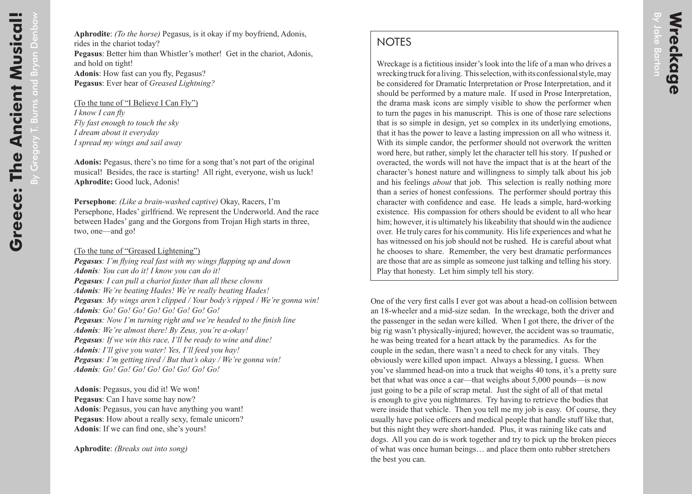## **NOTES**

Wreckage is a fictitious insider's look into the life of a man who drives a wrecking truck for a living. This selection, with its confessional style, may be considered for Dramatic Interpretation or Prose Interpretation, and it should be performed by a mature male. If used in Prose Interpretation, the drama mask icons are simply visible to show the performer when to turn the pages in his manuscript. This is one of those rare selections that is so simple in design, yet so complex in its underlying emotions, that it has the power to leave a lasting impression on all who witness it. With its simple candor, the performer should not overwork the written word here, but rather, simply let the character tell his story. If pushed or overacted, the words will not have the impact that is at the heart of the character's honest nature and willingness to simply talk about his job and his feelings *about* that job. This selection is really nothing more than a series of honest confessions. The performer should portray this character with confidence and ease. He leads a simple, hard-working existence. His compassion for others should be evident to all who hear him; however, it is ultimately his likeability that should win the audience over. He truly cares for his community. His life experiences and what he has witnessed on his job should not be rushed. He is careful about what he chooses to share. Remember, the very best dramatic performances are those that are as simple as someone just talking and telling his story. Play that honesty. Let him simply tell his story.

One of the very first calls I ever got was about a head-on collision between an 18-wheeler and a mid-size sedan. In the wreckage, both the driver and the passenger in the sedan were killed. When I got there, the driver of the big rig wasn't physically-injured; however, the accident was so traumatic, he was being treated for a heart attack by the paramedics. As for the couple in the sedan, there wasn't a need to check for any vitals. They obviously were killed upon impact. Always a blessing, I guess. When you've slammed head-on into a truck that weighs 40 tons, it's a pretty sure bet that what was once a car—that weighs about 5,000 pounds—is now just going to be a pile of scrap metal. Just the sight of all of that metal is enough to give you nightmares. Try having to retrieve the bodies that were inside that vehicle. Then you tell me my job is easy. Of course, they usually have police officers and medical people that handle stuff like that, but this night they were short-handed. Plus, it was raining like cats and dogs. All you can do is work together and try to pick up the broken pieces of what was once human beings… and place them onto rubber stretchers the best you can.